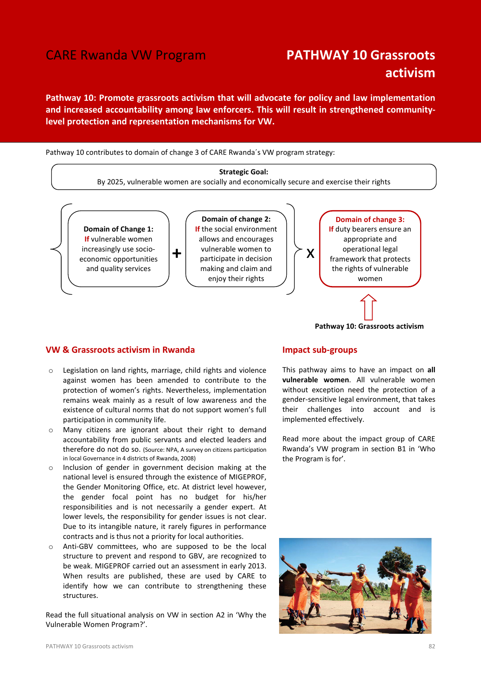### CARE Rwanda VW Program **PATHWAY 10 Grassroots**

# activism

Pathway 10: Promote grassroots activism that will advocate for policy and law implementation and increased accountability among law enforcers. This will result in strengthened communitylevel protection and representation mechanisms for VW.

Pathway 10 contributes to domain of change 3 of CARE Rwanda´s VW program strategy:

## Strategic Goal: By 2025, vulnerable women are socially and economically secure and exercise their rights



#### VW & Grassroots activism in Rwanda

- o Legislation on land rights, marriage, child rights and violence against women has been amended to contribute to the protection of women's rights. Nevertheless, implementation remains weak mainly as a result of low awareness and the existence of cultural norms that do not support women's full participation in community life.
- o Many citizens are ignorant about their right to demand accountability from public servants and elected leaders and therefore do not do so. (Source: NPA, A survey on citizens participation in local Governance in 4 districts of Rwanda, 2008)
- Inclusion of gender in government decision making at the national level is ensured through the existence of MIGEPROF, the Gender Monitoring Office, etc. At district level however, the gender focal point has no budget for his/her responsibilities and is not necessarily a gender expert. At lower levels, the responsibility for gender issues is not clear. Due to its intangible nature, it rarely figures in performance contracts and is thus not a priority for local authorities.
- o Anti-GBV committees, who are supposed to be the local structure to prevent and respond to GBV, are recognized to be weak. MIGEPROF carried out an assessment in early 2013. When results are published, these are used by CARE to identify how we can contribute to strengthening these structures.

Read the full situational analysis on VW in section A2 in 'Why the Vulnerable Women Program?'.

#### Impact sub-groups

This pathway aims to have an impact on all vulnerable women. All vulnerable women without exception need the protection of a gender-sensitive legal environment, that takes their challenges into account and is implemented effectively.

Pathway 10: Grassroots activism

Read more about the impact group of CARE Rwanda's VW program in section B1 in 'Who the Program is for'.

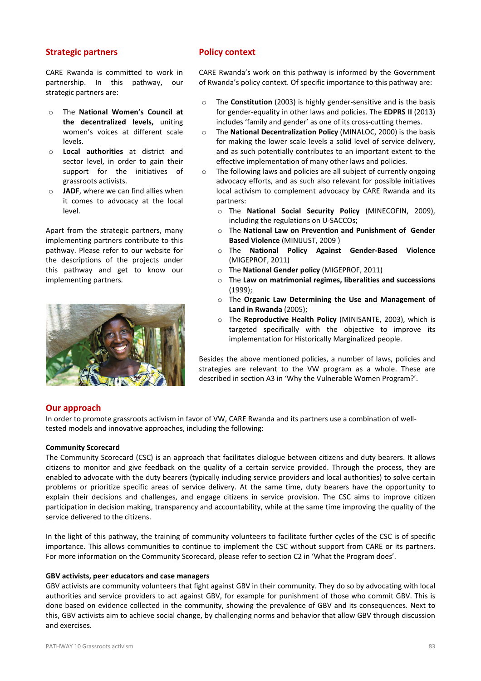#### Strategic partners

CARE Rwanda is committed to work in partnership. In this pathway, our strategic partners are:

- o The National Women's Council at the decentralized levels, uniting women's voices at different scale levels.
- o Local authorities at district and sector level, in order to gain their support for the initiatives of grassroots activists.
- $\circ$  JADF, where we can find allies when it comes to advocacy at the local level.

Apart from the strategic partners, many implementing partners contribute to this pathway. Please refer to our website for the descriptions of the projects under this pathway and get to know our implementing partners.



#### Policy context

CARE Rwanda's work on this pathway is informed by the Government of Rwanda's policy context. Of specific importance to this pathway are:

- o The Constitution (2003) is highly gender-sensitive and is the basis for gender-equality in other laws and policies. The EDPRS II (2013) includes 'family and gender' as one of its cross-cutting themes.
- o The National Decentralization Policy (MINALOC, 2000) is the basis for making the lower scale levels a solid level of service delivery, and as such potentially contributes to an important extent to the effective implementation of many other laws and policies.
- o The following laws and policies are all subject of currently ongoing advocacy efforts, and as such also relevant for possible initiatives local activism to complement advocacy by CARE Rwanda and its partners:
	- o The National Social Security Policy (MINECOFIN, 2009), including the regulations on U-SACCOs;
	- o The National Law on Prevention and Punishment of Gender Based Violence (MINIJUST, 2009 )
	- o The National Policy Against Gender-Based Violence (MIGEPROF, 2011)
	- o The National Gender policy (MIGEPROF, 2011)
	- o The Law on matrimonial regimes, liberalities and successions (1999);
	- o The Organic Law Determining the Use and Management of Land in Rwanda (2005);
	- The Reproductive Health Policy (MINISANTE, 2003), which is targeted specifically with the objective to improve its implementation for Historically Marginalized people.

Besides the above mentioned policies, a number of laws, policies and strategies are relevant to the VW program as a whole. These are described in section A3 in 'Why the Vulnerable Women Program?'.

#### Our approach

In order to promote grassroots activism in favor of VW, CARE Rwanda and its partners use a combination of welltested models and innovative approaches, including the following:

#### Community Scorecard

The Community Scorecard (CSC) is an approach that facilitates dialogue between citizens and duty bearers. It allows citizens to monitor and give feedback on the quality of a certain service provided. Through the process, they are enabled to advocate with the duty bearers (typically including service providers and local authorities) to solve certain problems or prioritize specific areas of service delivery. At the same time, duty bearers have the opportunity to explain their decisions and challenges, and engage citizens in service provision. The CSC aims to improve citizen participation in decision making, transparency and accountability, while at the same time improving the quality of the service delivered to the citizens.

In the light of this pathway, the training of community volunteers to facilitate further cycles of the CSC is of specific importance. This allows communities to continue to implement the CSC without support from CARE or its partners. For more information on the Community Scorecard, please refer to section C2 in 'What the Program does'.

#### GBV activists, peer educators and case managers

GBV activists are community volunteers that fight against GBV in their community. They do so by advocating with local authorities and service providers to act against GBV, for example for punishment of those who commit GBV. This is done based on evidence collected in the community, showing the prevalence of GBV and its consequences. Next to this, GBV activists aim to achieve social change, by challenging norms and behavior that allow GBV through discussion and exercises.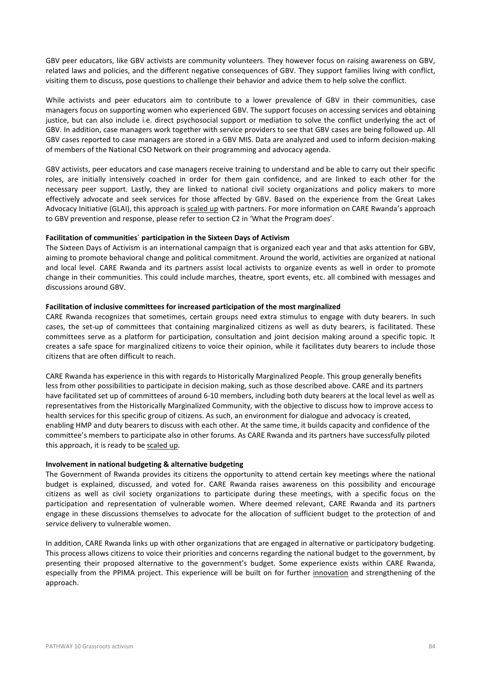GBV peer educators, like GBV activists are community volunteers. They however focus on raising awareness on GBV, related laws and policies, and the different negative consequences of GBV. They support families living with conflict, visiting them to discuss, pose questions to challenge their behavior and advice them to help solve the conflict.

While activists and peer educators aim to contribute to a lower prevalence of GBV in their communities, case managers focus on supporting women who experienced GBV. The support focuses on accessing services and obtaining justice, but can also include i.e. direct psychosocial support or mediation to solve the conflict underlying the act of GBV. In addition, case managers work together with service providers to see that GBV cases are being followed up. All GBV cases reported to case managers are stored in a GBV MIS. Data are analyzed and used to inform decision-making of members of the National CSO Network on their programming and advocacy agenda.

GBV activists, peer educators and case managers receive training to understand and be able to carry out their specific roles, are initially intensively coached in order for them gain confidence, and are linked to each other for the necessary peer support. Lastly, they are linked to national civil society organizations and policy makers to more effectively advocate and seek services for those affected by GBV. Based on the experience from the Great Lakes Advocacy Initiative (GLAI), this approach is scaled up with partners. For more information on CARE Rwanda's approach to GBV prevention and response, please refer to section C2 in 'What the Program does'.

#### Facilitation of communities´ participation in the Sixteen Days of Activism

The Sixteen Days of Activism is an international campaign that is organized each year and that asks attention for GBV, aiming to promote behavioral change and political commitment. Around the world, activities are organized at national and local level. CARE Rwanda and its partners assist local activists to organize events as well in order to promote change in their communities. This could include marches, theatre, sport events, etc. all combined with messages and discussions around GBV.

#### Facilitation of inclusive committees for increased participation of the most marginalized

CARE Rwanda recognizes that sometimes, certain groups need extra stimulus to engage with duty bearers. In such cases, the set-up of committees that containing marginalized citizens as well as duty bearers, is facilitated. These committees serve as a platform for participation, consultation and joint decision making around a specific topic. It creates a safe space for marginalized citizens to voice their opinion, while it facilitates duty bearers to include those citizens that are often difficult to reach.

CARE Rwanda has experience in this with regards to Historically Marginalized People. This group generally benefits less from other possibilities to participate in decision making, such as those described above. CARE and its partners have facilitated set up of committees of around 6-10 members, including both duty bearers at the local level as well as representatives from the Historically Marginalized Community, with the objective to discuss how to improve access to health services for this specific group of citizens. As such, an environment for dialogue and advocacy is created, enabling HMP and duty bearers to discuss with each other. At the same time, it builds capacity and confidence of the committee's members to participate also in other forums. As CARE Rwanda and its partners have successfully piloted this approach, it is ready to be scaled up.

#### Involvement in national budgeting & alternative budgeting

The Government of Rwanda provides its citizens the opportunity to attend certain key meetings where the national budget is explained, discussed, and voted for. CARE Rwanda raises awareness on this possibility and encourage citizens as well as civil society organizations to participate during these meetings, with a specific focus on the participation and representation of vulnerable women. Where deemed relevant, CARE Rwanda and its partners engage in these discussions themselves to advocate for the allocation of sufficient budget to the protection of and service delivery to vulnerable women.

In addition, CARE Rwanda links up with other organizations that are engaged in alternative or participatory budgeting. This process allows citizens to voice their priorities and concerns regarding the national budget to the government, by presenting their proposed alternative to the government's budget. Some experience exists within CARE Rwanda, especially from the PPIMA project. This experience will be built on for further innovation and strengthening of the approach.